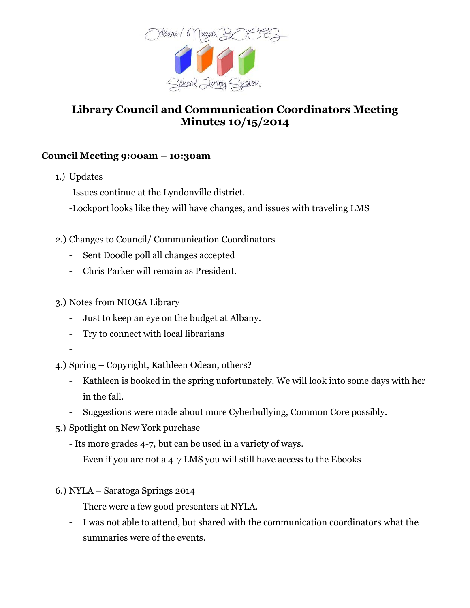

## **Library Council and Communication Coordinators Meeting Minutes 10/15/2014**

## **Council Meeting 9:00am – 10:30am**

- 1.) Updates
	- -Issues continue at the Lyndonville district.
	- -Lockport looks like they will have changes, and issues with traveling LMS
- 2.) Changes to Council/ Communication Coordinators
	- Sent Doodle poll all changes accepted
	- Chris Parker will remain as President.
- 3.) Notes from NIOGA Library
	- Just to keep an eye on the budget at Albany.
	- Try to connect with local librarians
	- -
- 4.) Spring Copyright, Kathleen Odean, others?
	- Kathleen is booked in the spring unfortunately. We will look into some days with her in the fall.
	- Suggestions were made about more Cyberbullying, Common Core possibly.
- 5.) Spotlight on New York purchase
	- Its more grades 4-7, but can be used in a variety of ways.
	- Even if you are not a 4-7 LMS you will still have access to the Ebooks
- 6.) NYLA Saratoga Springs 2014
	- There were a few good presenters at NYLA.
	- I was not able to attend, but shared with the communication coordinators what the summaries were of the events.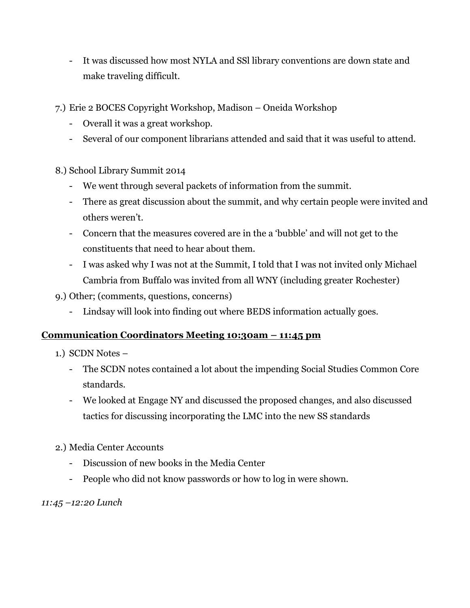- It was discussed how most NYLA and SSl library conventions are down state and make traveling difficult.
- 7.) Erie 2 BOCES Copyright Workshop, Madison Oneida Workshop
	- Overall it was a great workshop.
	- Several of our component librarians attended and said that it was useful to attend.
- 8.) School Library Summit 2014
	- We went through several packets of information from the summit.
	- There as great discussion about the summit, and why certain people were invited and others weren't.
	- Concern that the measures covered are in the a 'bubble' and will not get to the constituents that need to hear about them.
	- I was asked why I was not at the Summit, I told that I was not invited only Michael Cambria from Buffalo was invited from all WNY (including greater Rochester)
- 9.) Other; (comments, questions, concerns)
	- Lindsay will look into finding out where BEDS information actually goes.

## **Communication Coordinators Meeting 10:30am – 11:45 pm**

- 1.) SCDN Notes
	- The SCDN notes contained a lot about the impending Social Studies Common Core standards.
	- We looked at Engage NY and discussed the proposed changes, and also discussed tactics for discussing incorporating the LMC into the new SS standards
- 2.) Media Center Accounts
	- Discussion of new books in the Media Center
	- People who did not know passwords or how to log in were shown.

*11:45 –12:20 Lunch*